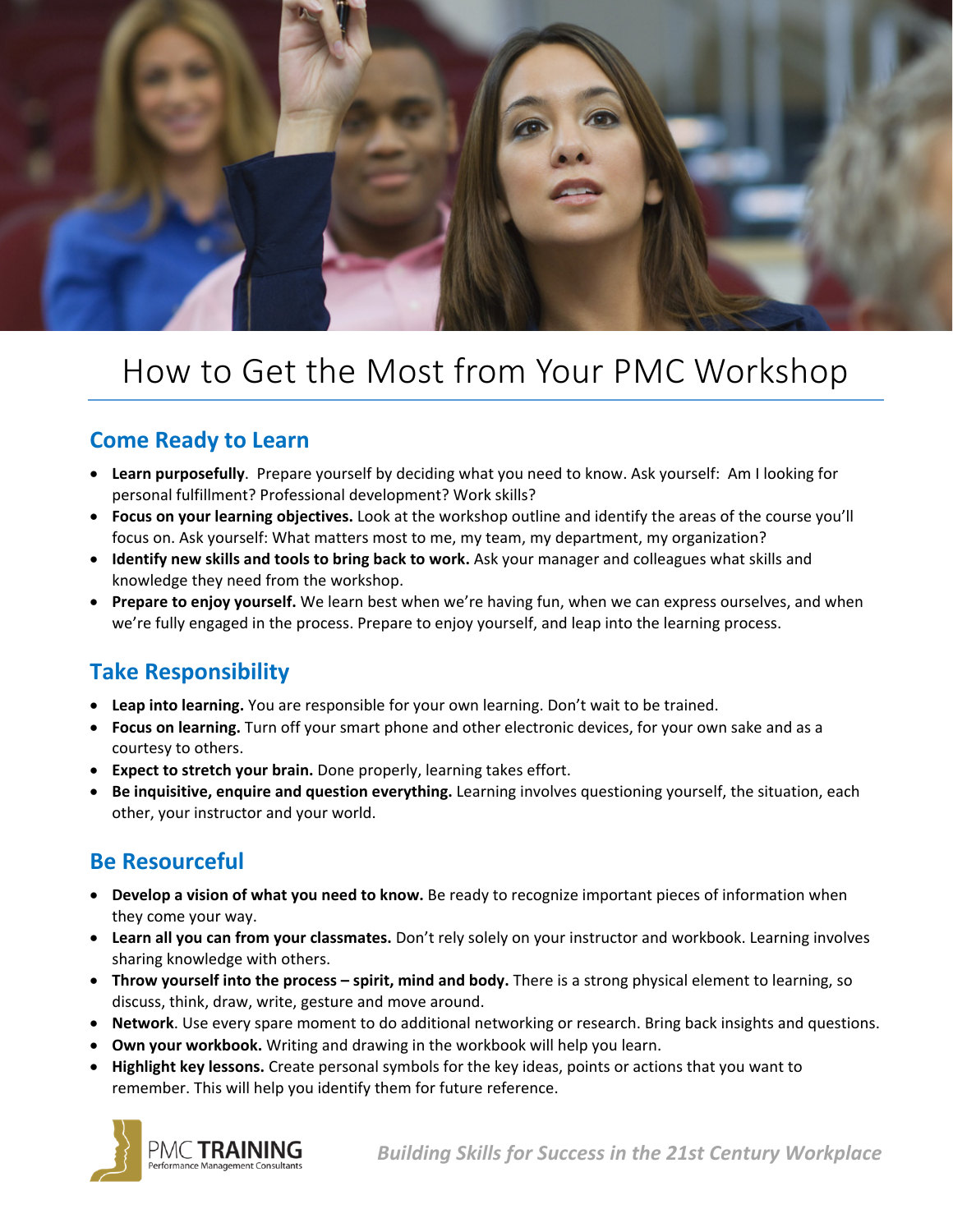

# How to Get the Most from Your PMC Workshop

### **Come Ready to Learn**

- **Learn purposefully**. Prepare yourself by deciding what you need to know. Ask yourself: Am I looking for personal fulfillment? Professional development? Work skills?
- **Focus on your learning objectives.** Look at the workshop outline and identify the areas of the course you'll focus on. Ask yourself: What matters most to me, my team, my department, my organization?
- **Identify new skills and tools to bring back to work.** Ask your manager and colleagues what skills and knowledge they need from the workshop.
- **Prepare to enjoy yourself.** We learn best when we're having fun, when we can express ourselves, and when we're fully engaged in the process. Prepare to enjoy yourself, and leap into the learning process.

# **Take Responsibility**

- **Leap into learning.** You are responsible for your own learning. Don't wait to be trained.
- **Focus on learning.** Turn off your smart phone and other electronic devices, for your own sake and as a courtesy to others.
- **Expect to stretch your brain.** Done properly, learning takes effort.
- **Be inquisitive, enquire and question everything.** Learning involves questioning yourself, the situation, each other, your instructor and your world.

# **Be Resourceful**

- **Develop a vision of what you need to know.** Be ready to recognize important pieces of information when they come your way.
- **Learn all you can from your classmates.** Don't rely solely on your instructor and workbook. Learning involves sharing knowledge with others.
- **Throw yourself into the process – spirit, mind and body.** There is a strong physical element to learning, so discuss, think, draw, write, gesture and move around.
- **Network**. Use every spare moment to do additional networking or research. Bring back insights and questions.
- **Own your workbook.** Writing and drawing in the workbook will help you learn.
- **Highlight key lessons.** Create personal symbols for the key ideas, points or actions that you want to remember. This will help you identify them for future reference.